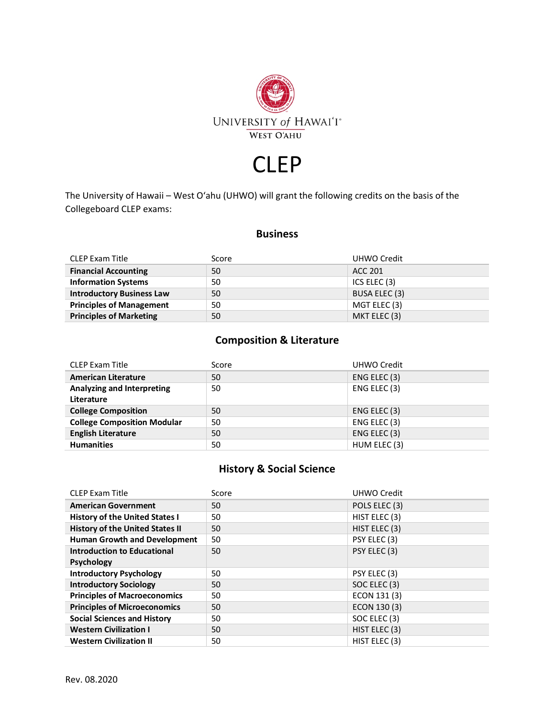

# CLEP

The University of Hawaii – West O'ahu (UHWO) will grant the following credits on the basis of the Collegeboard CLEP exams:

#### **Business**

| <b>CLEP Exam Title</b>           | Score | UHWO Credit          |
|----------------------------------|-------|----------------------|
| <b>Financial Accounting</b>      | 50    | ACC 201              |
| <b>Information Systems</b>       | 50    | ICS ELEC (3)         |
| <b>Introductory Business Law</b> | 50    | <b>BUSA ELEC (3)</b> |
| <b>Principles of Management</b>  | 50    | MGT ELEC (3)         |
| <b>Principles of Marketing</b>   | 50    | MKT ELEC (3)         |

#### **Composition & Literature**

| <b>CLEP Exam Title</b>                   | Score | UHWO Credit  |
|------------------------------------------|-------|--------------|
| <b>American Literature</b>               | 50    | ENG ELEC (3) |
| Analyzing and Interpreting<br>Literature | 50    | ENG ELEC (3) |
| <b>College Composition</b>               | 50    | ENG ELEC (3) |
| <b>College Composition Modular</b>       | 50    | ENG ELEC (3) |
| <b>English Literature</b>                | 50    | ENG ELEC (3) |
| <b>Humanities</b>                        | 50    | HUM ELEC (3) |

### **History & Social Science**

| <b>CLEP Exam Title</b>                 | Score | <b>UHWO Credit</b> |
|----------------------------------------|-------|--------------------|
| <b>American Government</b>             | 50    | POLS ELEC (3)      |
| <b>History of the United States I</b>  | 50    | HIST ELEC (3)      |
| <b>History of the United States II</b> | 50    | HIST ELEC (3)      |
| <b>Human Growth and Development</b>    | 50    | PSY ELEC (3)       |
| Introduction to Educational            | 50    | PSY ELEC (3)       |
| <b>Psychology</b>                      |       |                    |
| <b>Introductory Psychology</b>         | 50    | PSY ELEC (3)       |
| <b>Introductory Sociology</b>          | 50    | SOC ELEC (3)       |
| <b>Principles of Macroeconomics</b>    | 50    | ECON 131 (3)       |
| <b>Principles of Microeconomics</b>    | 50    | ECON 130 (3)       |
| <b>Social Sciences and History</b>     | 50    | SOC ELEC (3)       |
| <b>Western Civilization I</b>          | 50    | HIST ELEC (3)      |
| <b>Western Civilization II</b>         | 50    | HIST ELEC (3)      |